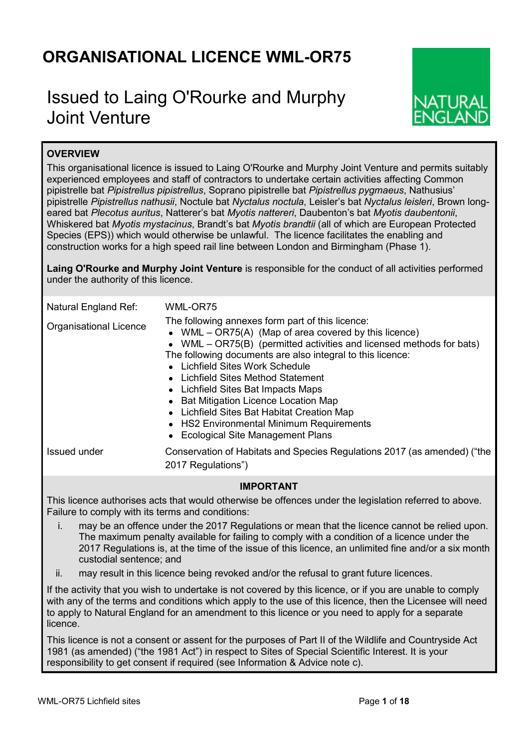## **ORGANISATIONAL LICENCE WML-OR75**

# Issued to Laing O'Rourke and Murphy Joint Venture



## **OVERVIEW**

This organisational licence is issued to Laing O'Rourke and Murphy Joint Venture and permits suitably experienced employees and staff of contractors to undertake certain activities affecting Common pipistrelle bat *Pipistrellus pipistrellus*, Soprano pipistrelle bat *Pipistrellus pygmaeus*, Nathusius' pipistrelle *Pipistrellus nathusii*, Noctule bat *Nyctalus noctula*, Leisler's bat *Nyctalus leisleri*, Brown longeared bat *Plecotus auritus*, Natterer's bat *Myotis nattereri*, Daubenton's bat *Myotis daubentonii*, Whiskered bat *Myotis mystacinus*, Brandt's bat *Myotis brandtii* (all of which are European Protected Species (EPS)) which would otherwise be unlawful. The licence facilitates the enabling and construction works for a high speed rail line between London and Birmingham (Phase 1).

**Laing O'Rourke and Murphy Joint Venture** is responsible for the conduct of all activities performed under the authority of this licence.

| Natural England Ref:                                                                                               | WML-OR75                                                                                                                                                                                                                                                                                                                                                                                                                                                                                                                                    |  |  |  |  |
|--------------------------------------------------------------------------------------------------------------------|---------------------------------------------------------------------------------------------------------------------------------------------------------------------------------------------------------------------------------------------------------------------------------------------------------------------------------------------------------------------------------------------------------------------------------------------------------------------------------------------------------------------------------------------|--|--|--|--|
| <b>Organisational Licence</b>                                                                                      | The following annexes form part of this licence:<br>• WML $-$ OR75(A) (Map of area covered by this licence)<br>• WML – $OR75(B)$ (permitted activities and licensed methods for bats)<br>The following documents are also integral to this licence:<br>• Lichfield Sites Work Schedule<br>• Lichfield Sites Method Statement<br>• Lichfield Sites Bat Impacts Maps<br>• Bat Mitigation Licence Location Map<br>• Lichfield Sites Bat Habitat Creation Map<br>• HS2 Environmental Minimum Requirements<br>• Ecological Site Management Plans |  |  |  |  |
| Issued under                                                                                                       | Conservation of Habitats and Species Regulations 2017 (as amended) ("the<br>2017 Regulations")                                                                                                                                                                                                                                                                                                                                                                                                                                              |  |  |  |  |
| IMPORTANT<br>This ligange qutberiese aste that would etherwise he effenses under the legislation referred to above |                                                                                                                                                                                                                                                                                                                                                                                                                                                                                                                                             |  |  |  |  |

This licence authorises acts that would otherwise be offences under the legislation referred to above. Failure to comply with its terms and conditions:

- i. may be an offence under the 2017 Regulations or mean that the licence cannot be relied upon. The maximum penalty available for failing to comply with a condition of a licence under the 2017 Regulations is, at the time of the issue of this licence, an unlimited fine and/or a six month custodial sentence; and
- ii. may result in this licence being revoked and/or the refusal to grant future licences.

If the activity that you wish to undertake is not covered by this licence, or if you are unable to comply with any of the terms and conditions which apply to the use of this licence, then the Licensee will need to apply to Natural England for an amendment to this licence or you need to apply for a separate licence.

This licence is not a consent or assent for the purposes of Part II of the Wildlife and Countryside Act 1981 (as amended) ("the 1981 Act") in respect to Sites of Special Scientific Interest. It is your responsibility to get consent if required (see Information & Advice note c).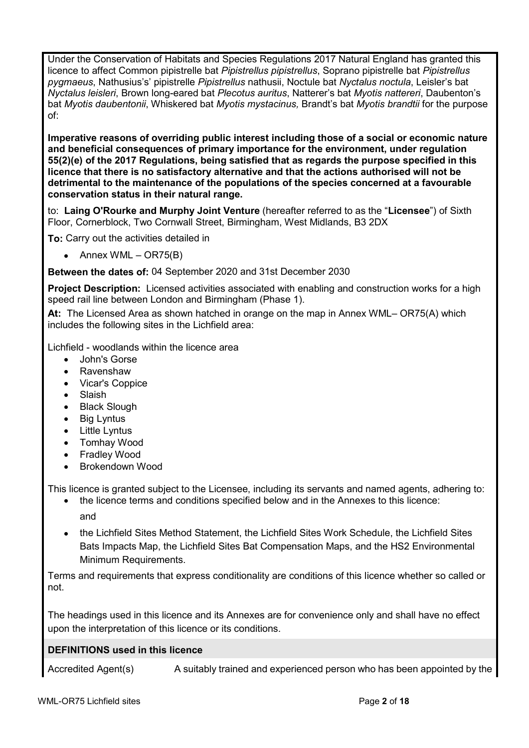Under the Conservation of Habitats and Species Regulations 2017 Natural England has granted this licence to affect Common pipistrelle bat *Pipistrellus pipistrellus*, Soprano pipistrelle bat *Pipistrellus pygmaeus*, Nathusius's' pipistrelle *Pipistrellus* nathusii, Noctule bat *Nyctalus noctula*, Leisler's bat *Nyctalus leisleri*, Brown long-eared bat *Plecotus auritus*, Natterer's bat *Myotis nattereri*, Daubenton's bat *Myotis daubentonii*, Whiskered bat *Myotis mystacinus,* Brandt's bat *Myotis brandtii* for the purpose of:

**Imperative reasons of overriding public interest including those of a social or economic nature and beneficial consequences of primary importance for the environment, under regulation 55(2)(e) of the 2017 Regulations, being satisfied that as regards the purpose specified in this licence that there is no satisfactory alternative and that the actions authorised will not be detrimental to the maintenance of the populations of the species concerned at a favourable conservation status in their natural range.**

to: **Laing O'Rourke and Murphy Joint Venture** (hereafter referred to as the "**Licensee**") of Sixth Floor, Cornerblock, Two Cornwall Street, Birmingham, West Midlands, B3 2DX

**To:** Carry out the activities detailed in

• Annex WML – OR75 $(B)$ 

**Between the dates of:** 04 September 2020 and 31st December 2030

**Project Description:** Licensed activities associated with enabling and construction works for a high speed rail line between London and Birmingham (Phase 1).

**At:** The Licensed Area as shown hatched in orange on the map in Annex WML– OR75(A) which includes the following sites in the Lichfield area:

Lichfield - woodlands within the licence area

- John's Gorse
- Ravenshaw
- Vicar's Coppice
- Slaish
- Black Slough
- Big Lyntus
- Little Lyntus
- Tomhay Wood
- Fradley Wood
- Brokendown Wood

This licence is granted subject to the Licensee, including its servants and named agents, adhering to:

- the licence terms and conditions specified below and in the Annexes to this licence: and
- the Lichfield Sites Method Statement, the Lichfield Sites Work Schedule, the Lichfield Sites Bats Impacts Map, the Lichfield Sites Bat Compensation Maps, and the HS2 Environmental Minimum Requirements.

Terms and requirements that express conditionality are conditions of this licence whether so called or not.

The headings used in this licence and its Annexes are for convenience only and shall have no effect upon the interpretation of this licence or its conditions.

## **DEFINITIONS used in this licence**

Accredited Agent(s) A suitably trained and experienced person who has been appointed by the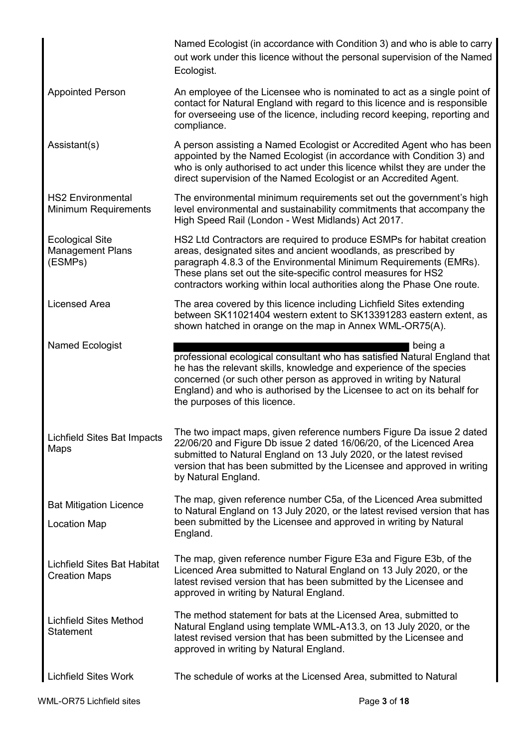|                                                              | Named Ecologist (in accordance with Condition 3) and who is able to carry<br>out work under this licence without the personal supervision of the Named<br>Ecologist.                                                                                                                                                                                        |
|--------------------------------------------------------------|-------------------------------------------------------------------------------------------------------------------------------------------------------------------------------------------------------------------------------------------------------------------------------------------------------------------------------------------------------------|
| <b>Appointed Person</b>                                      | An employee of the Licensee who is nominated to act as a single point of<br>contact for Natural England with regard to this licence and is responsible<br>for overseeing use of the licence, including record keeping, reporting and<br>compliance.                                                                                                         |
| Assistant(s)                                                 | A person assisting a Named Ecologist or Accredited Agent who has been<br>appointed by the Named Ecologist (in accordance with Condition 3) and<br>who is only authorised to act under this licence whilst they are under the<br>direct supervision of the Named Ecologist or an Accredited Agent.                                                           |
| <b>HS2 Environmental</b><br>Minimum Requirements             | The environmental minimum requirements set out the government's high<br>level environmental and sustainability commitments that accompany the<br>High Speed Rail (London - West Midlands) Act 2017.                                                                                                                                                         |
| <b>Ecological Site</b><br><b>Management Plans</b><br>(ESMPs) | HS2 Ltd Contractors are required to produce ESMPs for habitat creation<br>areas, designated sites and ancient woodlands, as prescribed by<br>paragraph 4.8.3 of the Environmental Minimum Requirements (EMRs).<br>These plans set out the site-specific control measures for HS2<br>contractors working within local authorities along the Phase One route. |
| <b>Licensed Area</b>                                         | The area covered by this licence including Lichfield Sites extending<br>between SK11021404 western extent to SK13391283 eastern extent, as<br>shown hatched in orange on the map in Annex WML-OR75(A).                                                                                                                                                      |
| Named Ecologist                                              | being a<br>professional ecological consultant who has satisfied Natural England that<br>he has the relevant skills, knowledge and experience of the species<br>concerned (or such other person as approved in writing by Natural<br>England) and who is authorised by the Licensee to act on its behalf for<br>the purposes of this licence.                |
| Lichfield Sites Bat Impacts<br>Maps                          | The two impact maps, given reference numbers Figure Da issue 2 dated<br>22/06/20 and Figure Db issue 2 dated 16/06/20, of the Licenced Area<br>submitted to Natural England on 13 July 2020, or the latest revised<br>version that has been submitted by the Licensee and approved in writing<br>by Natural England.                                        |
| <b>Bat Mitigation Licence</b><br><b>Location Map</b>         | The map, given reference number C5a, of the Licenced Area submitted<br>to Natural England on 13 July 2020, or the latest revised version that has<br>been submitted by the Licensee and approved in writing by Natural<br>England.                                                                                                                          |
| <b>Lichfield Sites Bat Habitat</b><br><b>Creation Maps</b>   | The map, given reference number Figure E3a and Figure E3b, of the<br>Licenced Area submitted to Natural England on 13 July 2020, or the<br>latest revised version that has been submitted by the Licensee and<br>approved in writing by Natural England.                                                                                                    |
| <b>Lichfield Sites Method</b><br><b>Statement</b>            | The method statement for bats at the Licensed Area, submitted to<br>Natural England using template WML-A13.3, on 13 July 2020, or the<br>latest revised version that has been submitted by the Licensee and<br>approved in writing by Natural England.                                                                                                      |
| <b>Lichfield Sites Work</b>                                  | The schedule of works at the Licensed Area, submitted to Natural                                                                                                                                                                                                                                                                                            |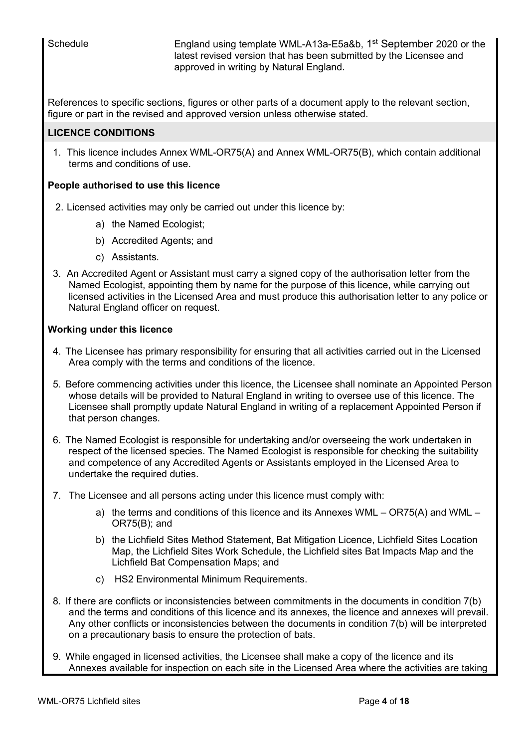Schedule **England using template WML-A13a-E5a&b**, 1<sup>st</sup> September 2020 or the latest revised version that has been submitted by the Licensee and approved in writing by Natural England.

References to specific sections, figures or other parts of a document apply to the relevant section, figure or part in the revised and approved version unless otherwise stated.

## **LICENCE CONDITIONS**

1. This licence includes Annex WML-OR75(A) and Annex WML-OR75(B), which contain additional terms and conditions of use.

## **People authorised to use this licence**

- 2. Licensed activities may only be carried out under this licence by:
	- a) the Named Ecologist;
	- b) Accredited Agents; and
	- c) Assistants.
- 3. An Accredited Agent or Assistant must carry a signed copy of the authorisation letter from the Named Ecologist, appointing them by name for the purpose of this licence, while carrying out licensed activities in the Licensed Area and must produce this authorisation letter to any police or Natural England officer on request.

## **Working under this licence**

- 4. The Licensee has primary responsibility for ensuring that all activities carried out in the Licensed Area comply with the terms and conditions of the licence.
- 5. Before commencing activities under this licence, the Licensee shall nominate an Appointed Person whose details will be provided to Natural England in writing to oversee use of this licence. The Licensee shall promptly update Natural England in writing of a replacement Appointed Person if that person changes.
- 6. The Named Ecologist is responsible for undertaking and/or overseeing the work undertaken in respect of the licensed species. The Named Ecologist is responsible for checking the suitability and competence of any Accredited Agents or Assistants employed in the Licensed Area to undertake the required duties.
- 7. The Licensee and all persons acting under this licence must comply with:
	- a) the terms and conditions of this licence and its Annexes WML OR75(A) and WML OR75(B); and
	- b) the Lichfield Sites Method Statement, Bat Mitigation Licence, Lichfield Sites Location Map, the Lichfield Sites Work Schedule, the Lichfield sites Bat Impacts Map and the Lichfield Bat Compensation Maps; and
	- c) HS2 Environmental Minimum Requirements.
- 8. If there are conflicts or inconsistencies between commitments in the documents in condition 7(b) and the terms and conditions of this licence and its annexes, the licence and annexes will prevail. Any other conflicts or inconsistencies between the documents in condition 7(b) will be interpreted on a precautionary basis to ensure the protection of bats.
- 9. While engaged in licensed activities, the Licensee shall make a copy of the licence and its Annexes available for inspection on each site in the Licensed Area where the activities are taking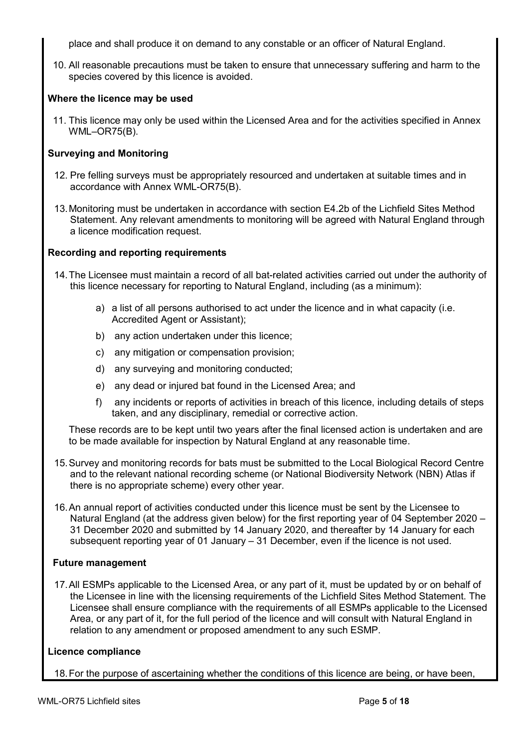place and shall produce it on demand to any constable or an officer of Natural England.

10. All reasonable precautions must be taken to ensure that unnecessary suffering and harm to the species covered by this licence is avoided.

## **Where the licence may be used**

11. This licence may only be used within the Licensed Area and for the activities specified in Annex WML–OR75(B).

## **Surveying and Monitoring**

- 12. Pre felling surveys must be appropriately resourced and undertaken at suitable times and in accordance with Annex WML-OR75(B).
- 13.Monitoring must be undertaken in accordance with section E4.2b of the Lichfield Sites Method Statement. Any relevant amendments to monitoring will be agreed with Natural England through a licence modification request.

## **Recording and reporting requirements**

- 14.The Licensee must maintain a record of all bat-related activities carried out under the authority of this licence necessary for reporting to Natural England, including (as a minimum):
	- a) a list of all persons authorised to act under the licence and in what capacity (i.e. Accredited Agent or Assistant);
	- b) any action undertaken under this licence;
	- c) any mitigation or compensation provision;
	- d) any surveying and monitoring conducted;
	- e) any dead or injured bat found in the Licensed Area; and
	- f) any incidents or reports of activities in breach of this licence, including details of steps taken, and any disciplinary, remedial or corrective action.

These records are to be kept until two years after the final licensed action is undertaken and are to be made available for inspection by Natural England at any reasonable time.

- 15.Survey and monitoring records for bats must be submitted to the Local Biological Record Centre and to the relevant national recording scheme (or National Biodiversity Network (NBN) Atlas if there is no appropriate scheme) every other year.
- 16.An annual report of activities conducted under this licence must be sent by the Licensee to Natural England (at the address given below) for the first reporting year of 04 September 2020 – 31 December 2020 and submitted by 14 January 2020, and thereafter by 14 January for each subsequent reporting year of 01 January – 31 December, even if the licence is not used.

## **Future management**

17.All ESMPs applicable to the Licensed Area, or any part of it, must be updated by or on behalf of the Licensee in line with the licensing requirements of the Lichfield Sites Method Statement. The Licensee shall ensure compliance with the requirements of all ESMPs applicable to the Licensed Area, or any part of it, for the full period of the licence and will consult with Natural England in relation to any amendment or proposed amendment to any such ESMP.

## **Licence compliance**

18.For the purpose of ascertaining whether the conditions of this licence are being, or have been,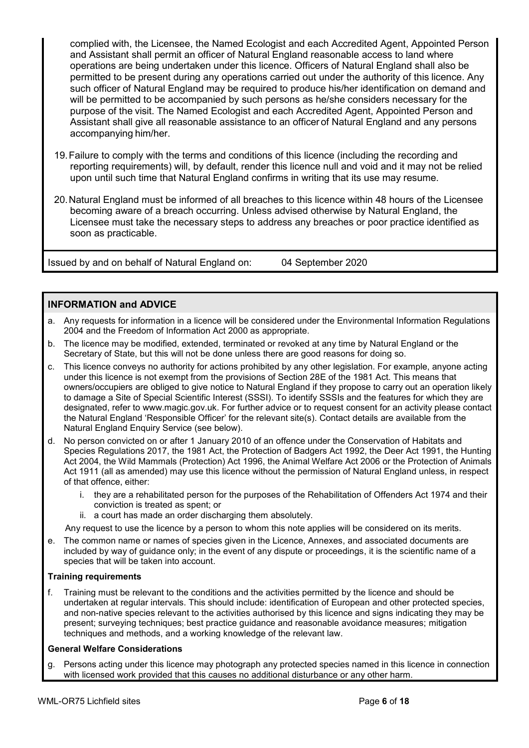complied with, the Licensee, the Named Ecologist and each Accredited Agent, Appointed Person and Assistant shall permit an officer of Natural England reasonable access to land where operations are being undertaken under this licence. Officers of Natural England shall also be permitted to be present during any operations carried out under the authority of this licence. Any such officer of Natural England may be required to produce his/her identification on demand and will be permitted to be accompanied by such persons as he/she considers necessary for the purpose of the visit. The Named Ecologist and each Accredited Agent, Appointed Person and Assistant shall give all reasonable assistance to an officer of Natural England and any persons accompanying him/her.

- 19.Failure to comply with the terms and conditions of this licence (including the recording and reporting requirements) will, by default, render this licence null and void and it may not be relied upon until such time that Natural England confirms in writing that its use may resume.
- 20.Natural England must be informed of all breaches to this licence within 48 hours of the Licensee becoming aware of a breach occurring. Unless advised otherwise by Natural England, the Licensee must take the necessary steps to address any breaches or poor practice identified as soon as practicable.

Issued by and on behalf of Natural England on: 04 September 2020

## **INFORMATION and ADVICE**

- a. Any requests for information in a licence will be considered under the Environmental Information Regulations 2004 and the Freedom of Information Act 2000 as appropriate.
- b. The licence may be modified, extended, terminated or revoked at any time by Natural England or the Secretary of State, but this will not be done unless there are good reasons for doing so.
- c. This licence conveys no authority for actions prohibited by any other legislation. For example, anyone acting under this licence is not exempt from the provisions of Section 28E of the 1981 Act. This means that owners/occupiers are obliged to give notice to Natural England if they propose to carry out an operation likely to damage a Site of Special Scientific Interest (SSSI). To identify SSSIs and the features for which they are designated, refer to www.magic.gov.uk. For further advice or to request consent for an activity please contact the Natural England 'Responsible Officer' for the relevant site(s). Contact details are available from the Natural England Enquiry Service (see below).
- d. No person convicted on or after 1 January 2010 of an offence under the Conservation of Habitats and Species Regulations 2017, the 1981 Act, the Protection of Badgers Act 1992, the Deer Act 1991, the Hunting Act 2004, the Wild Mammals (Protection) Act 1996, the Animal Welfare Act 2006 or the Protection of Animals Act 1911 (all as amended) may use this licence without the permission of Natural England unless, in respect of that offence, either:
	- i. they are a rehabilitated person for the purposes of the Rehabilitation of Offenders Act 1974 and their conviction is treated as spent; or
	- ii. a court has made an order discharging them absolutely.
	- Any request to use the licence by a person to whom this note applies will be considered on its merits.
- e. The common name or names of species given in the Licence, Annexes, and associated documents are included by way of guidance only; in the event of any dispute or proceedings, it is the scientific name of a species that will be taken into account.

#### **Training requirements**

f. Training must be relevant to the conditions and the activities permitted by the licence and should be undertaken at regular intervals. This should include: identification of European and other protected species, and non-native species relevant to the activities authorised by this licence and signs indicating they may be present; surveying techniques; best practice guidance and reasonable avoidance measures; mitigation techniques and methods, and a working knowledge of the relevant law.

#### **General Welfare Considerations**

g. Persons acting under this licence may photograph any protected species named in this licence in connection with licensed work provided that this causes no additional disturbance or any other harm.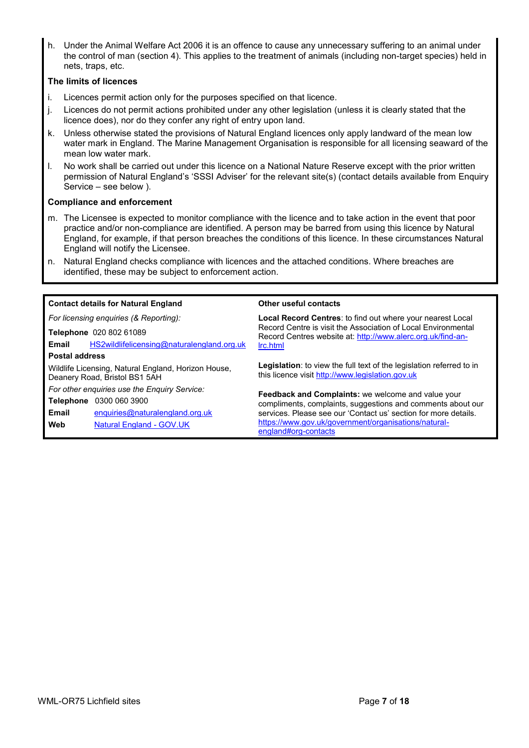h. Under the Animal Welfare Act 2006 it is an offence to cause any unnecessary suffering to an animal under the control of man (section 4). This applies to the treatment of animals (including non-target species) held in nets, traps, etc.

#### **The limits of licences**

- i. Licences permit action only for the purposes specified on that licence.
- j. Licences do not permit actions prohibited under any other legislation (unless it is clearly stated that the licence does), nor do they confer any right of entry upon land.
- k. Unless otherwise stated the provisions of Natural England licences only apply landward of the mean low water mark in England. The Marine Management Organisation is responsible for all licensing seaward of the mean low water mark.
- l. No work shall be carried out under this licence on a National Nature Reserve except with the prior written permission of Natural England's 'SSSI Adviser' for the relevant site(s) (contact details available from Enquiry Service – see below ).

#### **Compliance and enforcement**

- m. The Licensee is expected to monitor compliance with the licence and to take action in the event that poor practice and/or non-compliance are identified. A person may be barred from using this licence by Natural England, for example, if that person breaches the conditions of this licence. In these circumstances Natural England will notify the Licensee.
- n. Natural England checks compliance with licences and the attached conditions. Where breaches are identified, these may be subject to enforcement action.

| <b>Contact details for Natural England</b>                                           | Other useful contacts                                                                                                                    |  |  |
|--------------------------------------------------------------------------------------|------------------------------------------------------------------------------------------------------------------------------------------|--|--|
| For licensing enquiries (& Reporting):                                               | Local Record Centres: to find out where your nearest Local                                                                               |  |  |
| Telephone 020 802 61089<br>HS2wildlifelicensing@naturalengland.org.uk<br>Email       | Record Centre is visit the Association of Local Environmental<br>Record Centres website at: http://www.alerc.org.uk/find-an-<br>Irc.html |  |  |
| <b>Postal address</b>                                                                |                                                                                                                                          |  |  |
| Wildlife Licensing, Natural England, Horizon House,<br>Deanery Road, Bristol BS1 5AH | Legislation: to view the full text of the legislation referred to in<br>this licence visit http://www.legislation.gov.uk                 |  |  |
| For other enquiries use the Enquiry Service:                                         | Feedback and Complaints: we welcome and value your                                                                                       |  |  |
| 0300 060 3900<br>Telephone                                                           | compliments, complaints, suggestions and comments about our                                                                              |  |  |
| Email<br>enquiries@naturalengland.org.uk                                             | services. Please see our 'Contact us' section for more details.                                                                          |  |  |
| Web<br>Natural England - GOV.UK                                                      | https://www.gov.uk/government/organisations/natural-<br>england#org-contacts                                                             |  |  |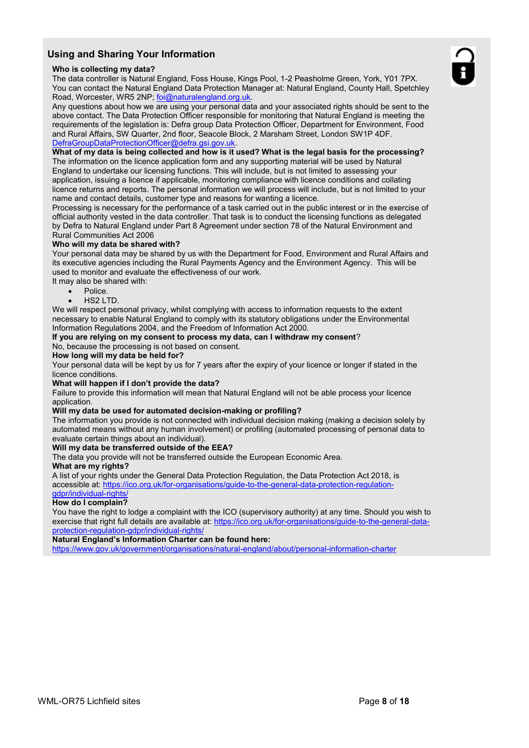## **Using and Sharing Your Information**

#### **Who is collecting my data?**

The data controller is Natural England, Foss House, Kings Pool, 1-2 Peasholme Green, York, Y01 7PX. You can contact the Natural England Data Protection Manager at: Natural England, County Hall, Spetchley Road, Worcester, WR5 2NP; [foi@naturalengland.org.uk.](mailto:foi@naturalengland.org.uk)

Any questions about how we are using your personal data and your associated rights should be sent to the above contact. The Data Protection Officer responsible for monitoring that Natural England is meeting the requirements of the legislation is: Defra group Data Protection Officer, Department for Environment, Food and Rural Affairs, SW Quarter, 2nd floor, Seacole Block, 2 Marsham Street, London SW1P 4DF. [DefraGroupDataProtectionOfficer@defra.gsi.gov.uk.](mailto:DefraGroupDataProtectionOfficer@defra.gsi.gov.uk)

#### **What of my data is being collected and how is it used? What is the legal basis for the processing?**

The information on the licence application form and any supporting material will be used by Natural England to undertake our licensing functions. This will include, but is not limited to assessing your application, issuing a licence if applicable, monitoring compliance with licence conditions and collating licence returns and reports. The personal information we will process will include, but is not limited to your name and contact details, customer type and reasons for wanting a licence.

Processing is necessary for the performance of a task carried out in the public interest or in the exercise of official authority vested in the data controller. That task is to conduct the licensing functions as delegated by Defra to Natural England under Part 8 Agreement under section 78 of the Natural Environment and Rural Communities Act 2006

#### **Who will my data be shared with?**

Your personal data may be shared by us with the Department for Food, Environment and Rural Affairs and its executive agencies including the Rural Payments Agency and the Environment Agency. This will be used to monitor and evaluate the effectiveness of our work.

- It may also be shared with:
	- Police.
	- HS2 LTD.

We will respect personal privacy, whilst complying with access to information requests to the extent necessary to enable Natural England to comply with its statutory obligations under the Environmental Information Regulations 2004, and the Freedom of Information Act 2000.

## **If you are relying on my consent to process my data, can I withdraw my consent**?

No, because the processing is not based on consent. **How long will my data be held for?**

Your personal data will be kept by us for 7 years after the expiry of your licence or longer if stated in the licence conditions.

#### **What will happen if I don't provide the data?**

Failure to provide this information will mean that Natural England will not be able process your licence application.

#### **Will my data be used for automated decision-making or profiling?**

The information you provide is not connected with individual decision making (making a decision solely by automated means without any human involvement) or profiling (automated processing of personal data to evaluate certain things about an individual).

#### **Will my data be transferred outside of the EEA?**

The data you provide will not be transferred outside the European Economic Area.

#### **What are my rights?**

A list of your rights under the General Data Protection Regulation, the Data Protection Act 2018, is accessible at: [https://ico.org.uk/for-organisations/guide-to-the-general-data-protection-regulation](https://ico.org.uk/for-organisations/guide-to-the-general-data-protection-regulation-gdpr/individual-rights/)[gdpr/individual-rights/](https://ico.org.uk/for-organisations/guide-to-the-general-data-protection-regulation-gdpr/individual-rights/)

#### **How do I complain?**

You have the right to lodge a complaint with the ICO (supervisory authority) at any time. Should you wish to exercise that right full details are available at: https://ico.org.uk/for-organisations/quide-to-the-general-data[protection-regulation-gdpr/individual-rights/](https://ico.org.uk/for-organisations/guide-to-the-general-data-protection-regulation-gdpr/individual-rights/)

#### **Natural England's Information Charter can be found here:**

<https://www.gov.uk/government/organisations/natural-england/about/personal-information-charter>

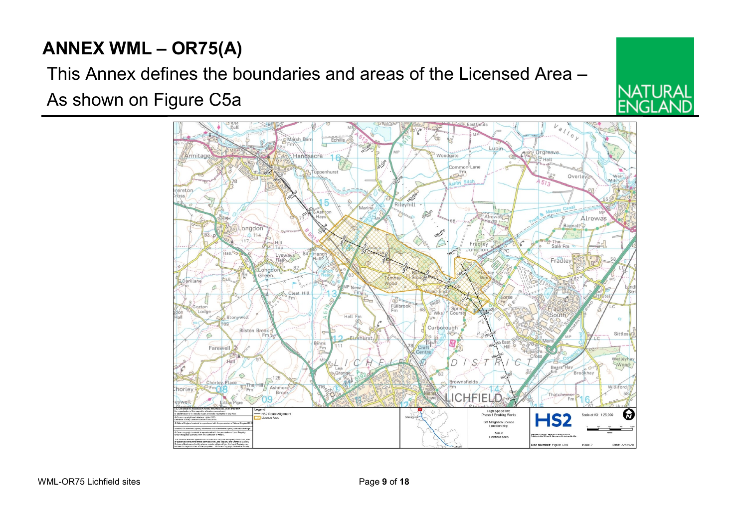# **ANNEX WML – OR75(A)**

This Annex defines the boundaries and areas of the Licensed Area – As shown on Figure C5a



NATI IRAI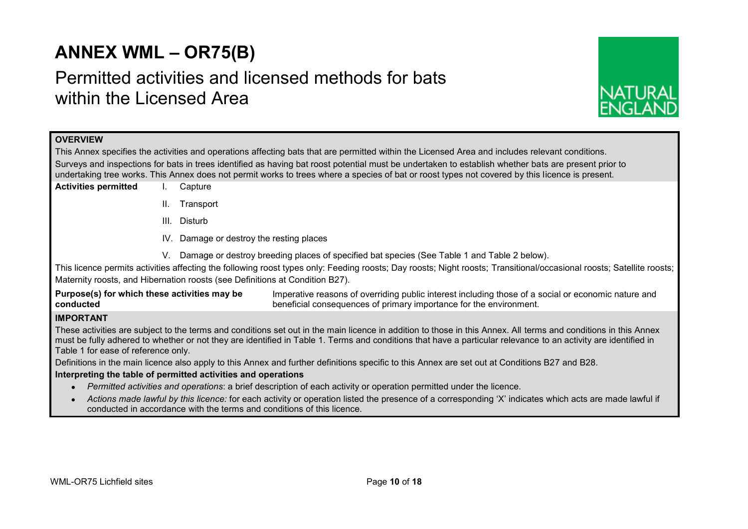# **ANNEX WML – OR75(B)**

# Permitted activities and licensed methods for bats within the Licensed Area



## **OVERVIEW**

This Annex specifies the activities and operations affecting bats that are permitted within the Licensed Area and includes relevant conditions. Surveys and inspections for bats in trees identified as having bat roost potential must be undertaken to establish whether bats are present prior to undertaking tree works. This Annex does not permit works to trees where a species of bat or roost types not covered by this licence is present.

- **Activities permitted** I. Capture
	- II. Transport
	- III. Disturb
	- IV. Damage or destroy the resting places
	- V. Damage or destroy breeding places of specified bat species (See Table 1 and Table 2 below).

This licence permits activities affecting the following roost types only: Feeding roosts; Day roosts; Night roosts; Transitional/occasional roosts; Satellite roosts; Maternity roosts, and Hibernation roosts (see Definitions at Condition B27).

**Purpose(s) for which these activities may be conducted** Imperative reasons of overriding public interest including those of a social or economic nature and beneficial consequences of primary importance for the environment.

## **IMPORTANT**

These activities are subject to the terms and conditions set out in the main licence in addition to those in this Annex. All terms and conditions in this Annex must be fully adhered to whether or not they are identified in Table 1. Terms and conditions that have a particular relevance to an activity are identified in Table 1 for ease of reference only.

Definitions in the main licence also apply to this Annex and further definitions specific to this Annex are set out at Conditions B27 and B28.

#### **Interpreting the table of permitted activities and operations**

- *Permitted activities and operations*: a brief description of each activity or operation permitted under the licence.
- *Actions made lawful by this licence:* for each activity or operation listed the presence of a corresponding 'X' indicates which acts are made lawful if conducted in accordance with the terms and conditions of this licence.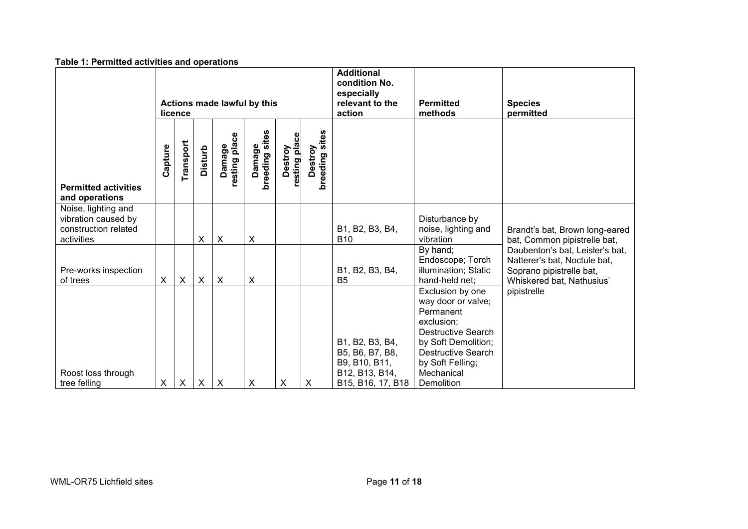| <b>I able 1. Permitted activities and operations</b>                             |                                        |                |                |                                                                               |                             |                             |                              |                                                                                            |                                                                                                                                                                                                    |                                                                                                                          |
|----------------------------------------------------------------------------------|----------------------------------------|----------------|----------------|-------------------------------------------------------------------------------|-----------------------------|-----------------------------|------------------------------|--------------------------------------------------------------------------------------------|----------------------------------------------------------------------------------------------------------------------------------------------------------------------------------------------------|--------------------------------------------------------------------------------------------------------------------------|
|                                                                                  | Actions made lawful by this<br>licence |                |                | <b>Additional</b><br>condition No.<br>especially<br>relevant to the<br>action | <b>Permitted</b><br>methods | <b>Species</b><br>permitted |                              |                                                                                            |                                                                                                                                                                                                    |                                                                                                                          |
| <b>Permitted activities</b><br>and operations                                    | Capture                                | Transport      | <b>Disturb</b> | resting place<br>Damage                                                       | Damage<br>breeding sites    | resting place<br>Destroy    | sites<br>Destroy<br>breeding |                                                                                            |                                                                                                                                                                                                    |                                                                                                                          |
| Noise, lighting and<br>vibration caused by<br>construction related<br>activities |                                        |                | X              | $\boldsymbol{\mathsf{X}}$                                                     | X                           |                             |                              | B1, B2, B3, B4,<br><b>B10</b>                                                              | Disturbance by<br>noise, lighting and<br>vibration                                                                                                                                                 | Brandt's bat, Brown long-eared<br>bat, Common pipistrelle bat,                                                           |
| Pre-works inspection<br>of trees                                                 | X                                      | X              | X              | $\boldsymbol{\mathsf{X}}$                                                     | $\pmb{\times}$              |                             |                              | B1, B2, B3, B4,<br>B <sub>5</sub>                                                          | By hand;<br>Endoscope; Torch<br>illumination; Static<br>hand-held net;                                                                                                                             | Daubenton's bat, Leisler's bat,<br>Natterer's bat, Noctule bat,<br>Soprano pipistrelle bat,<br>Whiskered bat, Nathusius' |
| Roost loss through<br>tree felling                                               | X                                      | $\pmb{\times}$ | X              | $\boldsymbol{\mathsf{X}}$                                                     | $\pmb{\times}$              | X                           | X                            | B1, B2, B3, B4,<br>B5, B6, B7, B8,<br>B9, B10, B11,<br>B12, B13, B14,<br>B15, B16, 17, B18 | Exclusion by one<br>way door or valve;<br>Permanent<br>exclusion;<br><b>Destructive Search</b><br>by Soft Demolition;<br><b>Destructive Search</b><br>by Soft Felling;<br>Mechanical<br>Demolition | pipistrelle                                                                                                              |

#### **Table 1: Permitted activities and operations**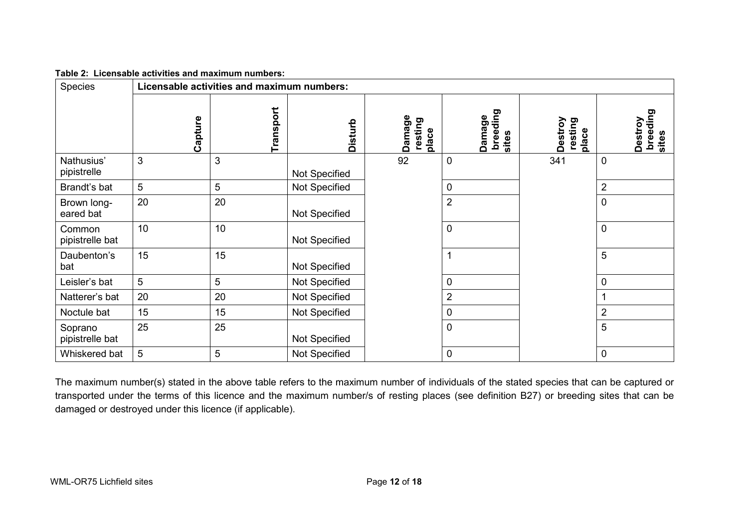| Table 2: Licensable activities and maximum numbers: |
|-----------------------------------------------------|
|-----------------------------------------------------|

| <b>Species</b>             | Licensable activities and maximum numbers: |           |                |                            |                             |                             |                              |
|----------------------------|--------------------------------------------|-----------|----------------|----------------------------|-----------------------------|-----------------------------|------------------------------|
|                            | Capture                                    | Transport | <b>Disturb</b> | Damage<br>resting<br>place | breeding<br>Damage<br>sites | Destroy<br>resting<br>place | breeding<br>Destroy<br>sites |
| Nathusius'<br>pipistrelle  | 3                                          | 3         | Not Specified  | 92                         | $\mathbf 0$                 | 341                         | $\mathbf 0$                  |
| Brandt's bat               | 5                                          | 5         | Not Specified  |                            | $\mathbf 0$                 |                             | $\overline{2}$               |
| Brown long-<br>eared bat   | 20                                         | 20        | Not Specified  |                            | $\overline{2}$              |                             | 0                            |
| Common<br>pipistrelle bat  | 10                                         | 10        | Not Specified  |                            | $\pmb{0}$                   |                             | $\mathbf 0$                  |
| Daubenton's<br>bat         | 15                                         | 15        | Not Specified  |                            | 1                           |                             | 5                            |
| Leisler's bat              | 5                                          | 5         | Not Specified  |                            | $\mathbf 0$                 |                             | 0                            |
| Natterer's bat             | 20                                         | 20        | Not Specified  |                            | $\overline{2}$              |                             |                              |
| Noctule bat                | 15                                         | 15        | Not Specified  |                            | 0                           |                             | $\overline{2}$               |
| Soprano<br>pipistrelle bat | 25                                         | 25        | Not Specified  |                            | $\mathbf 0$                 |                             | 5                            |
| Whiskered bat              | 5                                          | 5         | Not Specified  |                            | $\mathbf 0$                 |                             | 0                            |

The maximum number(s) stated in the above table refers to the maximum number of individuals of the stated species that can be captured or transported under the terms of this licence and the maximum number/s of resting places (see definition B27) or breeding sites that can be damaged or destroyed under this licence (if applicable).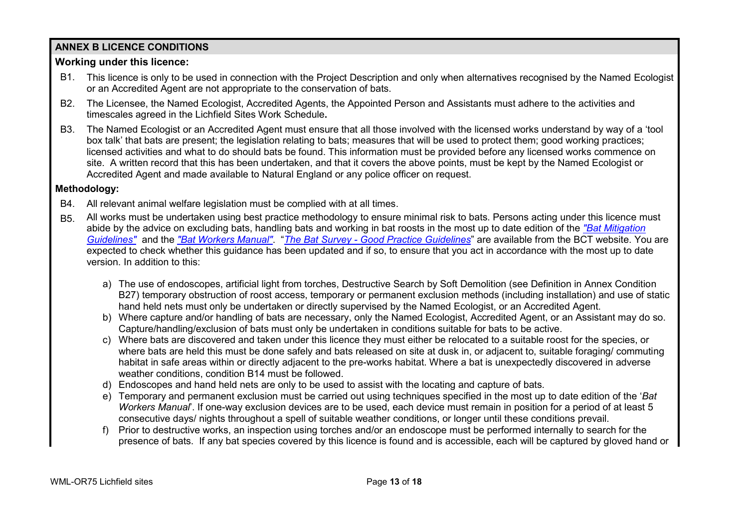## **ANNEX B LICENCE CONDITIONS**

## **Working under this licence:**

- B1. This licence is only to be used in connection with the Project Description and only when alternatives recognised by the Named Ecologist or an Accredited Agent are not appropriate to the conservation of bats.
- B2. The Licensee, the Named Ecologist, Accredited Agents, the Appointed Person and Assistants must adhere to the activities and timescales agreed in the Lichfield Sites Work Schedule**.**
- B3. The Named Ecologist or an Accredited Agent must ensure that all those involved with the licensed works understand by way of a 'tool box talk' that bats are present; the legislation relating to bats; measures that will be used to protect them; good working practices; licensed activities and what to do should bats be found. This information must be provided before any licensed works commence on site. A written record that this has been undertaken, and that it covers the above points, must be kept by the Named Ecologist or Accredited Agent and made available to Natural England or any police officer on request.

## **Methodology:**

- B4. All relevant animal welfare legislation must be complied with at all times.
- B5. All works must be undertaken using best practice methodology to ensure minimal risk to bats. Persons acting under this licence must abide by the advice on excluding bats, handling bats and working in bat roosts in the most up to date edition of the *["Bat Mitigation](http://webarchive.nationalarchives.gov.uk/20140605090108/http:/publications.naturalengland.org.uk/publication/69046?category=31008)  [Guidelines"](http://webarchive.nationalarchives.gov.uk/20140605090108/http:/publications.naturalengland.org.uk/publication/69046?category=31008)* and the *["Bat Workers Manual"](http://jncc.defra.gov.uk/page-2861)*. "*The Bat Survey - [Good Practice Guidelines](http://www.bats.org.uk/pages/batsurveyguide.html)*" are available from the BCT website. You are expected to check whether this guidance has been updated and if so, to ensure that you act in accordance with the most up to date version. In addition to this:
	- a) The use of endoscopes, artificial light from torches, Destructive Search by Soft Demolition (see Definition in Annex Condition B27) temporary obstruction of roost access, temporary or permanent exclusion methods (including installation) and use of static hand held nets must only be undertaken or directly supervised by the Named Ecologist, or an Accredited Agent.
	- b) Where capture and/or handling of bats are necessary, only the Named Ecologist, Accredited Agent, or an Assistant may do so. Capture/handling/exclusion of bats must only be undertaken in conditions suitable for bats to be active.
	- c) Where bats are discovered and taken under this licence they must either be relocated to a suitable roost for the species, or where bats are held this must be done safely and bats released on site at dusk in, or adjacent to, suitable foraging/ commuting habitat in safe areas within or directly adjacent to the pre-works habitat. Where a bat is unexpectedly discovered in adverse weather conditions, condition B14 must be followed.
	- d) Endoscopes and hand held nets are only to be used to assist with the locating and capture of bats.
	- e) Temporary and permanent exclusion must be carried out using techniques specified in the most up to date edition of the '*Bat Workers Manual*'. If one-way exclusion devices are to be used, each device must remain in position for a period of at least 5 consecutive days/ nights throughout a spell of suitable weather conditions, or longer until these conditions prevail.
	- f) Prior to destructive works, an inspection using torches and/or an endoscope must be performed internally to search for the presence of bats. If any bat species covered by this licence is found and is accessible, each will be captured by gloved hand or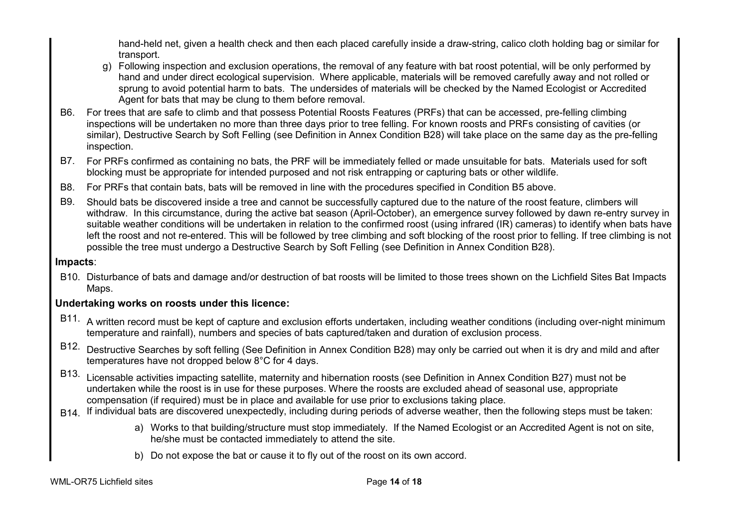hand-held net, given a health check and then each placed carefully inside a draw-string, calico cloth holding bag or similar for transport.

- g) Following inspection and exclusion operations, the removal of any feature with bat roost potential, will be only performed by hand and under direct ecological supervision. Where applicable, materials will be removed carefully away and not rolled or sprung to avoid potential harm to bats. The undersides of materials will be checked by the Named Ecologist or Accredited Agent for bats that may be clung to them before removal.
- B6. For trees that are safe to climb and that possess Potential Roosts Features (PRFs) that can be accessed, pre-felling climbing inspections will be undertaken no more than three days prior to tree felling. For known roosts and PRFs consisting of cavities (or similar), Destructive Search by Soft Felling (see Definition in Annex Condition B28) will take place on the same day as the pre-felling inspection.
- B7. For PRFs confirmed as containing no bats, the PRF will be immediately felled or made unsuitable for bats. Materials used for soft blocking must be appropriate for intended purposed and not risk entrapping or capturing bats or other wildlife.
- B8. For PRFs that contain bats, bats will be removed in line with the procedures specified in Condition B5 above.
- B9. Should bats be discovered inside a tree and cannot be successfully captured due to the nature of the roost feature, climbers will withdraw. In this circumstance, during the active bat season (April-October), an emergence survey followed by dawn re-entry survey in suitable weather conditions will be undertaken in relation to the confirmed roost (using infrared (IR) cameras) to identify when bats have left the roost and not re-entered. This will be followed by tree climbing and soft blocking of the roost prior to felling. If tree climbing is not possible the tree must undergo a Destructive Search by Soft Felling (see Definition in Annex Condition B28).

## **Impacts**:

B10. Disturbance of bats and damage and/or destruction of bat roosts will be limited to those trees shown on the Lichfield Sites Bat Impacts Maps.

## **Undertaking works on roosts under this licence:**

- B11. A written record must be kept of capture and exclusion efforts undertaken, including weather conditions (including over-night minimum temperature and rainfall), numbers and species of bats captured/taken and duration of exclusion process.
- B12. Destructive Searches by soft felling (See Definition in Annex Condition B28) may only be carried out when it is dry and mild and after temperatures have not dropped below 8°C for 4 days.
- B13. Licensable activities impacting satellite, maternity and hibernation roosts (see Definition in Annex Condition B27) must not be undertaken while the roost is in use for these purposes. Where the roosts are excluded ahead of seasonal use, appropriate compensation (if required) must be in place and available for use prior to exclusions taking place.
- B14. If individual bats are discovered unexpectedly, including during periods of adverse weather, then the following steps must be taken:
	- a) Works to that building/structure must stop immediately. If the Named Ecologist or an Accredited Agent is not on site, he/she must be contacted immediately to attend the site.
	- b) Do not expose the bat or cause it to fly out of the roost on its own accord.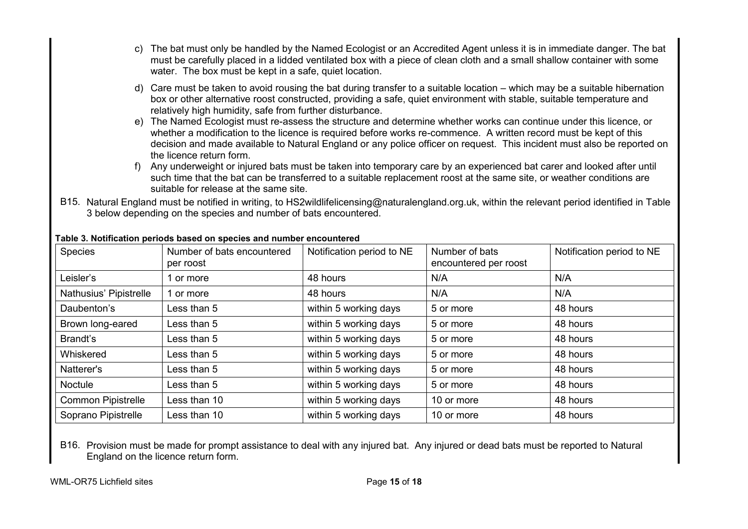- c) The bat must only be handled by the Named Ecologist or an Accredited Agent unless it is in immediate danger. The bat must be carefully placed in a lidded ventilated box with a piece of clean cloth and a small shallow container with some water. The box must be kept in a safe, quiet location.
- d) Care must be taken to avoid rousing the bat during transfer to a suitable location which may be a suitable hibernation box or other alternative roost constructed, providing a safe, quiet environment with stable, suitable temperature and relatively high humidity, safe from further disturbance.
- e) The Named Ecologist must re-assess the structure and determine whether works can continue under this licence, or whether a modification to the licence is required before works re-commence. A written record must be kept of this decision and made available to Natural England or any police officer on request. This incident must also be reported on the licence return form.
- f) Any underweight or injured bats must be taken into temporary care by an experienced bat carer and looked after until such time that the bat can be transferred to a suitable replacement roost at the same site, or weather conditions are suitable for release at the same site.
- B15. Natural England must be notified in writing, to HS2wildlifelicensing@naturalengland.org.uk, within the relevant period identified in Table 3 below depending on the species and number of bats encountered.

| <b>Species</b>            | Number of bats encountered<br>per roost | Notification period to NE | Number of bats<br>encountered per roost | Notification period to NE |
|---------------------------|-----------------------------------------|---------------------------|-----------------------------------------|---------------------------|
| Leisler's                 | 1 or more                               | 48 hours                  | N/A                                     | N/A                       |
| Nathusius' Pipistrelle    | 1 or more                               | 48 hours                  | N/A                                     | N/A                       |
| Daubenton's               | Less than 5                             | within 5 working days     | 5 or more                               | 48 hours                  |
| Brown long-eared          | Less than 5                             | within 5 working days     | 5 or more                               | 48 hours                  |
| Brandt's                  | Less than 5                             | within 5 working days     | 5 or more                               | 48 hours                  |
| Whiskered                 | Less than 5                             | within 5 working days     | 5 or more                               | 48 hours                  |
| Natterer's                | Less than 5                             | within 5 working days     | 5 or more                               | 48 hours                  |
| <b>Noctule</b>            | Less than 5                             | within 5 working days     | 5 or more                               | 48 hours                  |
| <b>Common Pipistrelle</b> | Less than 10                            | within 5 working days     | 10 or more                              | 48 hours                  |
| Soprano Pipistrelle       | Less than 10                            | within 5 working days     | 10 or more                              | 48 hours                  |

### **Table 3. Notification periods based on species and number encountered**

B16. Provision must be made for prompt assistance to deal with any injured bat. Any injured or dead bats must be reported to Natural England on the licence return form.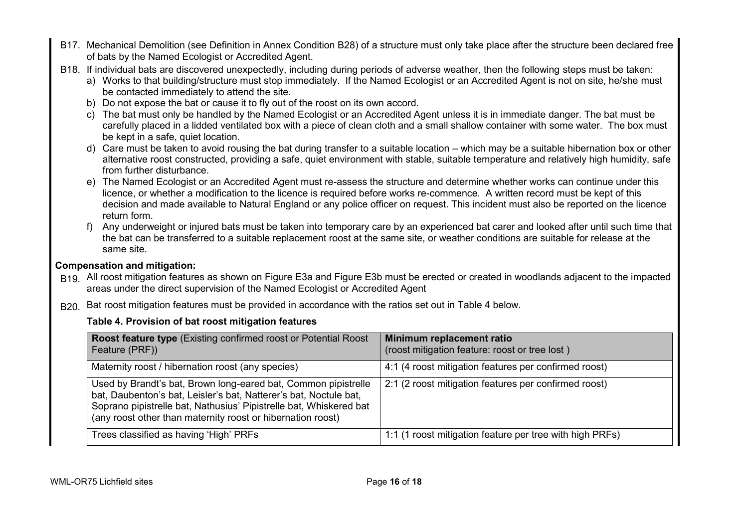- B17. Mechanical Demolition (see Definition in Annex Condition B28) of a structure must only take place after the structure been declared free of bats by the Named Ecologist or Accredited Agent.
- B18. If individual bats are discovered unexpectedly, including during periods of adverse weather, then the following steps must be taken:
	- a) Works to that building/structure must stop immediately. If the Named Ecologist or an Accredited Agent is not on site, he/she must be contacted immediately to attend the site.
	- b) Do not expose the bat or cause it to fly out of the roost on its own accord.
	- c) The bat must only be handled by the Named Ecologist or an Accredited Agent unless it is in immediate danger. The bat must be carefully placed in a lidded ventilated box with a piece of clean cloth and a small shallow container with some water. The box must be kept in a safe, quiet location.
	- d) Care must be taken to avoid rousing the bat during transfer to a suitable location which may be a suitable hibernation box or other alternative roost constructed, providing a safe, quiet environment with stable, suitable temperature and relatively high humidity, safe from further disturbance.
	- e) The Named Ecologist or an Accredited Agent must re-assess the structure and determine whether works can continue under this licence, or whether a modification to the licence is required before works re-commence. A written record must be kept of this decision and made available to Natural England or any police officer on request. This incident must also be reported on the licence return form.
	- f) Any underweight or injured bats must be taken into temporary care by an experienced bat carer and looked after until such time that the bat can be transferred to a suitable replacement roost at the same site, or weather conditions are suitable for release at the same site.

## **Compensation and mitigation:**

- B19. All roost mitigation features as shown on Figure E3a and Figure E3b must be erected or created in woodlands adjacent to the impacted areas under the direct supervision of the Named Ecologist or Accredited Agent
- B20. Bat roost mitigation features must be provided in accordance with the ratios set out in Table 4 below.

## **Table 4. Provision of bat roost mitigation features**

| <b>Roost feature type</b> (Existing confirmed roost or Potential Roost<br>Feature (PRF))                                                                                                                                                                                 | Minimum replacement ratio<br>(roost mitigation feature: roost or tree lost) |
|--------------------------------------------------------------------------------------------------------------------------------------------------------------------------------------------------------------------------------------------------------------------------|-----------------------------------------------------------------------------|
| Maternity roost / hibernation roost (any species)                                                                                                                                                                                                                        | 4:1 (4 roost mitigation features per confirmed roost)                       |
| Used by Brandt's bat, Brown long-eared bat, Common pipistrelle<br>bat, Daubenton's bat, Leisler's bat, Natterer's bat, Noctule bat,<br>Soprano pipistrelle bat, Nathusius' Pipistrelle bat, Whiskered bat<br>(any roost other than maternity roost or hibernation roost) | 2:1 (2 roost mitigation features per confirmed roost)                       |
| Trees classified as having 'High' PRFs                                                                                                                                                                                                                                   | 1:1 (1 roost mitigation feature per tree with high PRFs)                    |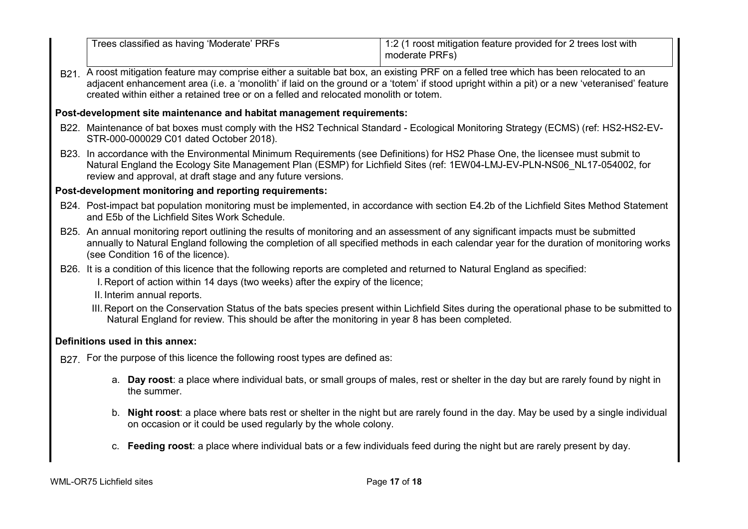|                                                                                                                                                                                                                                                                                                                                                                                   | Trees classified as having 'Moderate' PRFs                                     | 1:2 (1 roost mitigation feature provided for 2 trees lost with<br>moderate PRFs)                                                                                                                                                                            |  |  |  |  |
|-----------------------------------------------------------------------------------------------------------------------------------------------------------------------------------------------------------------------------------------------------------------------------------------------------------------------------------------------------------------------------------|--------------------------------------------------------------------------------|-------------------------------------------------------------------------------------------------------------------------------------------------------------------------------------------------------------------------------------------------------------|--|--|--|--|
| B21. A roost mitigation feature may comprise either a suitable bat box, an existing PRF on a felled tree which has been relocated to an<br>adjacent enhancement area (i.e. a 'monolith' if laid on the ground or a 'totem' if stood upright within a pit) or a new 'veteranised' feature<br>created within either a retained tree or on a felled and relocated monolith or totem. |                                                                                |                                                                                                                                                                                                                                                             |  |  |  |  |
|                                                                                                                                                                                                                                                                                                                                                                                   | Post-development site maintenance and habitat management requirements:         |                                                                                                                                                                                                                                                             |  |  |  |  |
|                                                                                                                                                                                                                                                                                                                                                                                   | STR-000-000029 C01 dated October 2018).                                        | B22. Maintenance of bat boxes must comply with the HS2 Technical Standard - Ecological Monitoring Strategy (ECMS) (ref: HS2-HS2-EV-                                                                                                                         |  |  |  |  |
|                                                                                                                                                                                                                                                                                                                                                                                   | review and approval, at draft stage and any future versions.                   | B23. In accordance with the Environmental Minimum Requirements (see Definitions) for HS2 Phase One, the licensee must submit to<br>Natural England the Ecology Site Management Plan (ESMP) for Lichfield Sites (ref: 1EW04-LMJ-EV-PLN-NS06 NL17-054002, for |  |  |  |  |
|                                                                                                                                                                                                                                                                                                                                                                                   | Post-development monitoring and reporting requirements:                        |                                                                                                                                                                                                                                                             |  |  |  |  |
| B24. Post-impact bat population monitoring must be implemented, in accordance with section E4.2b of the Lichfield Sites Method Statement<br>and E5b of the Lichfield Sites Work Schedule.                                                                                                                                                                                         |                                                                                |                                                                                                                                                                                                                                                             |  |  |  |  |
| B25. An annual monitoring report outlining the results of monitoring and an assessment of any significant impacts must be submitted<br>annually to Natural England following the completion of all specified methods in each calendar year for the duration of monitoring works<br>(see Condition 16 of the licence).                                                             |                                                                                |                                                                                                                                                                                                                                                             |  |  |  |  |
| B26. It is a condition of this licence that the following reports are completed and returned to Natural England as specified:<br>I. Report of action within 14 days (two weeks) after the expiry of the licence;<br>II. Interim annual reports.                                                                                                                                   |                                                                                |                                                                                                                                                                                                                                                             |  |  |  |  |
| III. Report on the Conservation Status of the bats species present within Lichfield Sites during the operational phase to be submitted to<br>Natural England for review. This should be after the monitoring in year 8 has been completed.                                                                                                                                        |                                                                                |                                                                                                                                                                                                                                                             |  |  |  |  |
|                                                                                                                                                                                                                                                                                                                                                                                   | Definitions used in this annex:                                                |                                                                                                                                                                                                                                                             |  |  |  |  |
|                                                                                                                                                                                                                                                                                                                                                                                   | B27. For the purpose of this licence the following roost types are defined as: |                                                                                                                                                                                                                                                             |  |  |  |  |
|                                                                                                                                                                                                                                                                                                                                                                                   | the summer.                                                                    | a. Day roost: a place where individual bats, or small groups of males, rest or shelter in the day but are rarely found by night in                                                                                                                          |  |  |  |  |
|                                                                                                                                                                                                                                                                                                                                                                                   | on occasion or it could be used regularly by the whole colony.                 | b. Night roost: a place where bats rest or shelter in the night but are rarely found in the day. May be used by a single individual                                                                                                                         |  |  |  |  |

c. **Feeding roost**: a place where individual bats or a few individuals feed during the night but are rarely present by day.